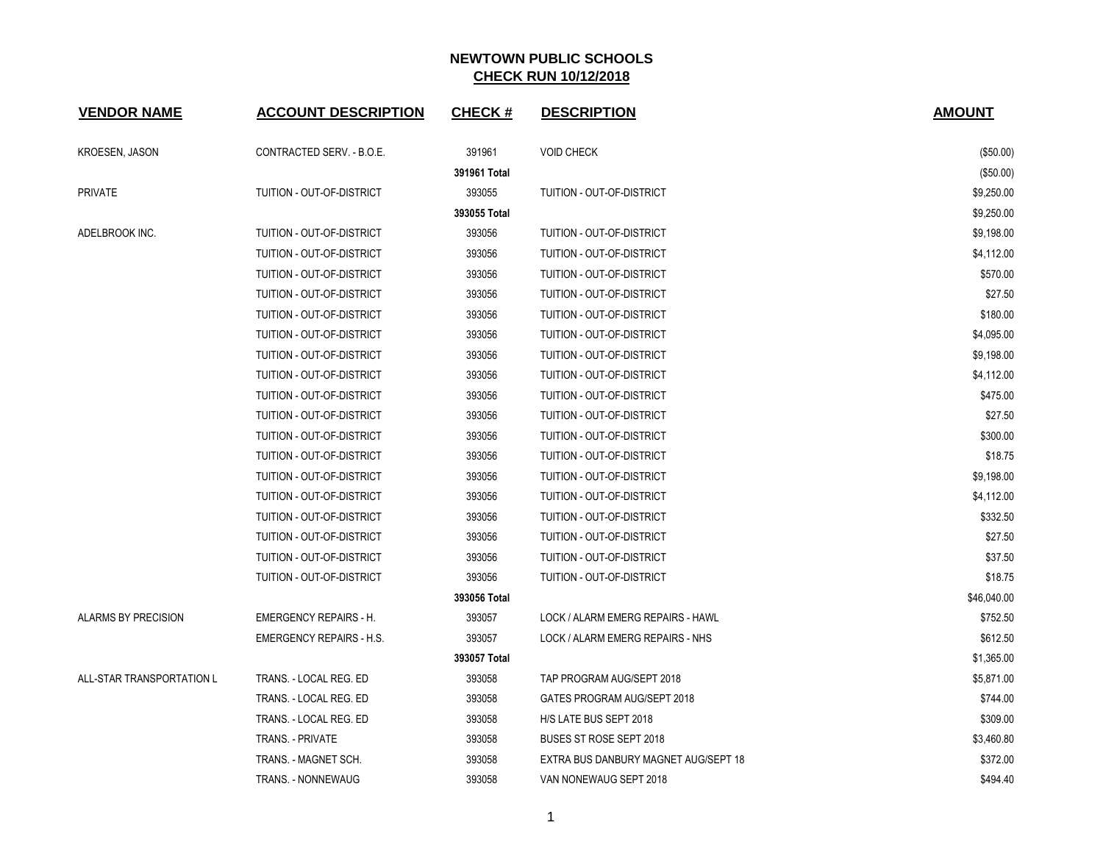| <b>VENDOR NAME</b>        | <b>ACCOUNT DESCRIPTION</b>      | <b>CHECK#</b> | <b>DESCRIPTION</b>                   | <b>AMOUNT</b> |
|---------------------------|---------------------------------|---------------|--------------------------------------|---------------|
| <b>KROESEN, JASON</b>     | CONTRACTED SERV. - B.O.E.       | 391961        | <b>VOID CHECK</b>                    | (\$50.00)     |
|                           |                                 | 391961 Total  |                                      | (\$50.00)     |
| <b>PRIVATE</b>            | TUITION - OUT-OF-DISTRICT       | 393055        | TUITION - OUT-OF-DISTRICT            | \$9,250.00    |
|                           |                                 | 393055 Total  |                                      | \$9,250.00    |
| ADELBROOK INC.            | TUITION - OUT-OF-DISTRICT       | 393056        | TUITION - OUT-OF-DISTRICT            | \$9,198.00    |
|                           | TUITION - OUT-OF-DISTRICT       | 393056        | TUITION - OUT-OF-DISTRICT            | \$4,112.00    |
|                           | TUITION - OUT-OF-DISTRICT       | 393056        | TUITION - OUT-OF-DISTRICT            | \$570.00      |
|                           | TUITION - OUT-OF-DISTRICT       | 393056        | TUITION - OUT-OF-DISTRICT            | \$27.50       |
|                           | TUITION - OUT-OF-DISTRICT       | 393056        | TUITION - OUT-OF-DISTRICT            | \$180.00      |
|                           | TUITION - OUT-OF-DISTRICT       | 393056        | TUITION - OUT-OF-DISTRICT            | \$4,095.00    |
|                           | TUITION - OUT-OF-DISTRICT       | 393056        | TUITION - OUT-OF-DISTRICT            | \$9,198.00    |
|                           | TUITION - OUT-OF-DISTRICT       | 393056        | TUITION - OUT-OF-DISTRICT            | \$4,112.00    |
|                           | TUITION - OUT-OF-DISTRICT       | 393056        | TUITION - OUT-OF-DISTRICT            | \$475.00      |
|                           | TUITION - OUT-OF-DISTRICT       | 393056        | TUITION - OUT-OF-DISTRICT            | \$27.50       |
|                           | TUITION - OUT-OF-DISTRICT       | 393056        | TUITION - OUT-OF-DISTRICT            | \$300.00      |
|                           | TUITION - OUT-OF-DISTRICT       | 393056        | TUITION - OUT-OF-DISTRICT            | \$18.75       |
|                           | TUITION - OUT-OF-DISTRICT       | 393056        | TUITION - OUT-OF-DISTRICT            | \$9,198.00    |
|                           | TUITION - OUT-OF-DISTRICT       | 393056        | TUITION - OUT-OF-DISTRICT            | \$4,112.00    |
|                           | TUITION - OUT-OF-DISTRICT       | 393056        | TUITION - OUT-OF-DISTRICT            | \$332.50      |
|                           | TUITION - OUT-OF-DISTRICT       | 393056        | TUITION - OUT-OF-DISTRICT            | \$27.50       |
|                           | TUITION - OUT-OF-DISTRICT       | 393056        | TUITION - OUT-OF-DISTRICT            | \$37.50       |
|                           | TUITION - OUT-OF-DISTRICT       | 393056        | TUITION - OUT-OF-DISTRICT            | \$18.75       |
|                           |                                 | 393056 Total  |                                      | \$46,040.00   |
| ALARMS BY PRECISION       | <b>EMERGENCY REPAIRS - H.</b>   | 393057        | LOCK / ALARM EMERG REPAIRS - HAWL    | \$752.50      |
|                           | <b>EMERGENCY REPAIRS - H.S.</b> | 393057        | LOCK / ALARM EMERG REPAIRS - NHS     | \$612.50      |
|                           |                                 | 393057 Total  |                                      | \$1,365.00    |
| ALL-STAR TRANSPORTATION L | TRANS. - LOCAL REG. ED          | 393058        | TAP PROGRAM AUG/SEPT 2018            | \$5,871.00    |
|                           | TRANS. - LOCAL REG. ED          | 393058        | GATES PROGRAM AUG/SEPT 2018          | \$744.00      |
|                           | TRANS. - LOCAL REG. ED          | 393058        | H/S LATE BUS SEPT 2018               | \$309.00      |
|                           | TRANS. - PRIVATE                | 393058        | BUSES ST ROSE SEPT 2018              | \$3,460.80    |
|                           | TRANS. - MAGNET SCH.            | 393058        | EXTRA BUS DANBURY MAGNET AUG/SEPT 18 | \$372.00      |
|                           | TRANS. - NONNEWAUG              | 393058        | VAN NONEWAUG SEPT 2018               | \$494.40      |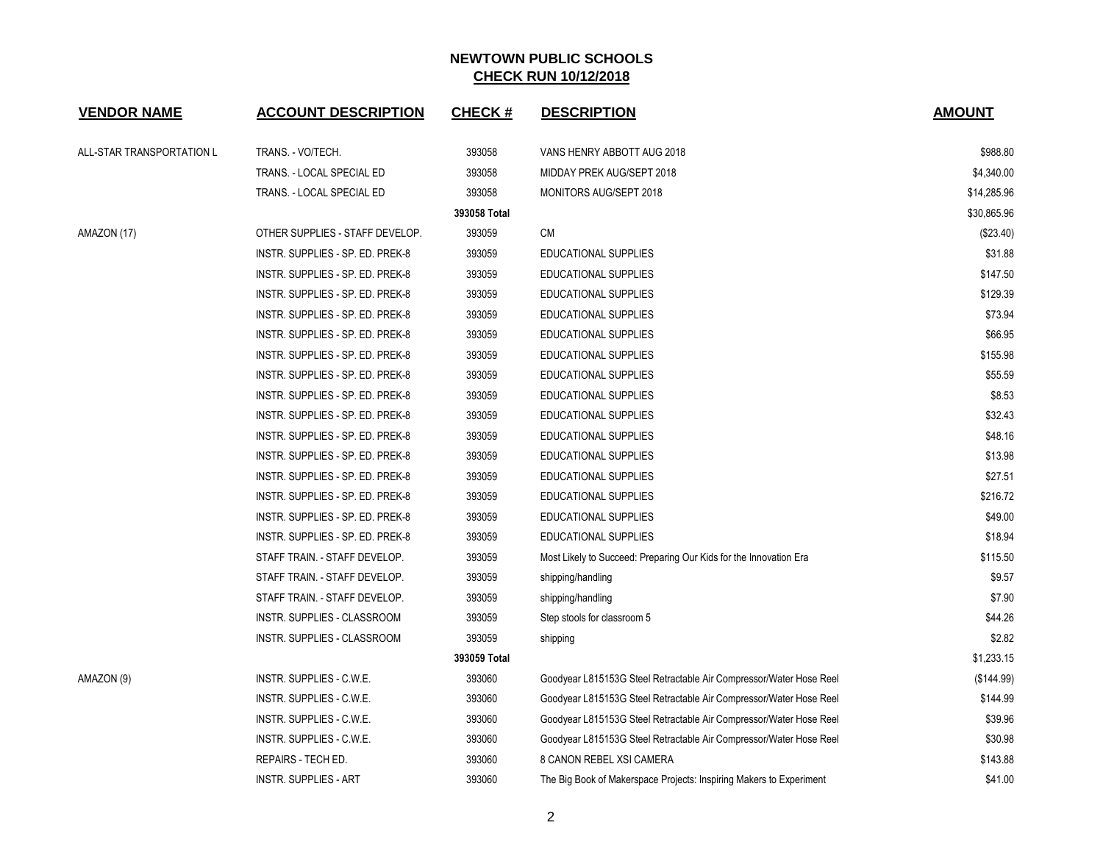| <b>VENDOR NAME</b>        | <b>ACCOUNT DESCRIPTION</b>       | <b>CHECK#</b> | <b>DESCRIPTION</b>                                                  | <b>AMOUNT</b> |
|---------------------------|----------------------------------|---------------|---------------------------------------------------------------------|---------------|
| ALL-STAR TRANSPORTATION L | TRANS. - VO/TECH.                | 393058        | VANS HENRY ABBOTT AUG 2018                                          | \$988.80      |
|                           | TRANS. - LOCAL SPECIAL ED        | 393058        | MIDDAY PREK AUG/SEPT 2018                                           | \$4,340.00    |
|                           | TRANS. - LOCAL SPECIAL ED        | 393058        | MONITORS AUG/SEPT 2018                                              | \$14,285.96   |
|                           |                                  | 393058 Total  |                                                                     | \$30,865.96   |
| AMAZON (17)               | OTHER SUPPLIES - STAFF DEVELOP.  | 393059        | <b>CM</b>                                                           | (\$23.40)     |
|                           | INSTR. SUPPLIES - SP. ED. PREK-8 | 393059        | EDUCATIONAL SUPPLIES                                                | \$31.88       |
|                           | INSTR. SUPPLIES - SP. ED. PREK-8 | 393059        | EDUCATIONAL SUPPLIES                                                | \$147.50      |
|                           | INSTR. SUPPLIES - SP. ED. PREK-8 | 393059        | <b>EDUCATIONAL SUPPLIES</b>                                         | \$129.39      |
|                           | INSTR. SUPPLIES - SP. ED. PREK-8 | 393059        | EDUCATIONAL SUPPLIES                                                | \$73.94       |
|                           | INSTR. SUPPLIES - SP. ED. PREK-8 | 393059        | EDUCATIONAL SUPPLIES                                                | \$66.95       |
|                           | INSTR. SUPPLIES - SP. ED. PREK-8 | 393059        | EDUCATIONAL SUPPLIES                                                | \$155.98      |
|                           | INSTR. SUPPLIES - SP. ED. PREK-8 | 393059        | <b>EDUCATIONAL SUPPLIES</b>                                         | \$55.59       |
|                           | INSTR. SUPPLIES - SP. ED. PREK-8 | 393059        | EDUCATIONAL SUPPLIES                                                | \$8.53        |
|                           | INSTR. SUPPLIES - SP. ED. PREK-8 | 393059        | EDUCATIONAL SUPPLIES                                                | \$32.43       |
|                           | INSTR. SUPPLIES - SP. ED. PREK-8 | 393059        | EDUCATIONAL SUPPLIES                                                | \$48.16       |
|                           | INSTR. SUPPLIES - SP. ED. PREK-8 | 393059        | <b>EDUCATIONAL SUPPLIES</b>                                         | \$13.98       |
|                           | INSTR. SUPPLIES - SP. ED. PREK-8 | 393059        | <b>EDUCATIONAL SUPPLIES</b>                                         | \$27.51       |
|                           | INSTR. SUPPLIES - SP. ED. PREK-8 | 393059        | EDUCATIONAL SUPPLIES                                                | \$216.72      |
|                           | INSTR. SUPPLIES - SP. ED. PREK-8 | 393059        | EDUCATIONAL SUPPLIES                                                | \$49.00       |
|                           | INSTR. SUPPLIES - SP. ED. PREK-8 | 393059        | <b>EDUCATIONAL SUPPLIES</b>                                         | \$18.94       |
|                           | STAFF TRAIN. - STAFF DEVELOP.    | 393059        | Most Likely to Succeed: Preparing Our Kids for the Innovation Era   | \$115.50      |
|                           | STAFF TRAIN. - STAFF DEVELOP.    | 393059        | shipping/handling                                                   | \$9.57        |
|                           | STAFF TRAIN. - STAFF DEVELOP.    | 393059        | shipping/handling                                                   | \$7.90        |
|                           | INSTR. SUPPLIES - CLASSROOM      | 393059        | Step stools for classroom 5                                         | \$44.26       |
|                           | INSTR. SUPPLIES - CLASSROOM      | 393059        | shipping                                                            | \$2.82        |
|                           |                                  | 393059 Total  |                                                                     | \$1,233.15    |
| AMAZON (9)                | INSTR. SUPPLIES - C.W.E.         | 393060        | Goodyear L815153G Steel Retractable Air Compressor/Water Hose Reel  | (\$144.99)    |
|                           | INSTR. SUPPLIES - C.W.E.         | 393060        | Goodyear L815153G Steel Retractable Air Compressor/Water Hose Reel  | \$144.99      |
|                           | INSTR. SUPPLIES - C.W.E.         | 393060        | Goodyear L815153G Steel Retractable Air Compressor/Water Hose Reel  | \$39.96       |
|                           | INSTR. SUPPLIES - C.W.E.         | 393060        | Goodyear L815153G Steel Retractable Air Compressor/Water Hose Reel  | \$30.98       |
|                           | REPAIRS - TECH ED.               | 393060        | 8 CANON REBEL XSI CAMERA                                            | \$143.88      |
|                           | <b>INSTR. SUPPLIES - ART</b>     | 393060        | The Big Book of Makerspace Projects: Inspiring Makers to Experiment | \$41.00       |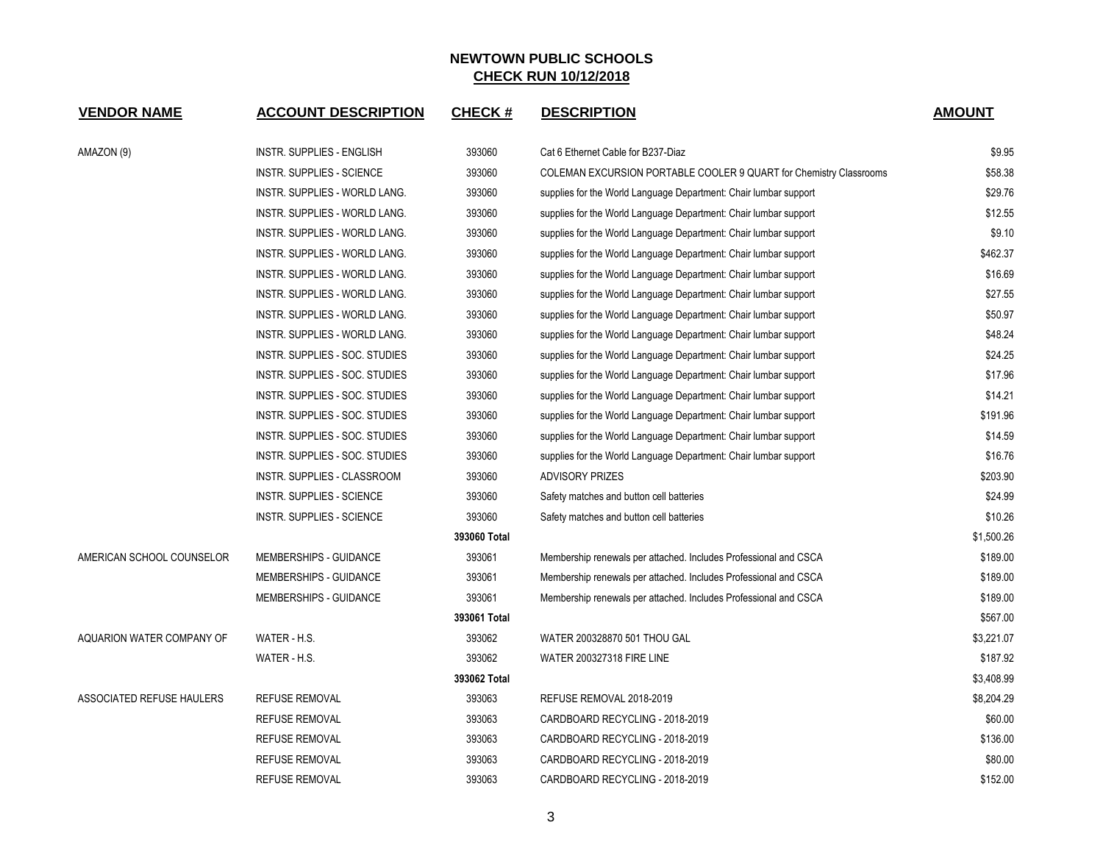| <b>VENDOR NAME</b>        | <b>ACCOUNT DESCRIPTION</b>       | <b>CHECK#</b> | <b>DESCRIPTION</b>                                                 | <b>AMOUNT</b> |
|---------------------------|----------------------------------|---------------|--------------------------------------------------------------------|---------------|
| AMAZON (9)                | INSTR. SUPPLIES - ENGLISH        | 393060        | Cat 6 Ethernet Cable for B237-Diaz                                 | \$9.95        |
|                           | INSTR. SUPPLIES - SCIENCE        | 393060        | COLEMAN EXCURSION PORTABLE COOLER 9 QUART for Chemistry Classrooms | \$58.38       |
|                           | INSTR. SUPPLIES - WORLD LANG.    | 393060        | supplies for the World Language Department: Chair lumbar support   | \$29.76       |
|                           | INSTR. SUPPLIES - WORLD LANG.    | 393060        | supplies for the World Language Department: Chair lumbar support   | \$12.55       |
|                           | INSTR. SUPPLIES - WORLD LANG.    | 393060        | supplies for the World Language Department: Chair lumbar support   | \$9.10        |
|                           | INSTR. SUPPLIES - WORLD LANG.    | 393060        | supplies for the World Language Department: Chair lumbar support   | \$462.37      |
|                           | INSTR. SUPPLIES - WORLD LANG.    | 393060        | supplies for the World Language Department: Chair lumbar support   | \$16.69       |
|                           | INSTR. SUPPLIES - WORLD LANG.    | 393060        | supplies for the World Language Department: Chair lumbar support   | \$27.55       |
|                           | INSTR. SUPPLIES - WORLD LANG.    | 393060        | supplies for the World Language Department: Chair lumbar support   | \$50.97       |
|                           | INSTR. SUPPLIES - WORLD LANG.    | 393060        | supplies for the World Language Department: Chair lumbar support   | \$48.24       |
|                           | INSTR. SUPPLIES - SOC. STUDIES   | 393060        | supplies for the World Language Department: Chair lumbar support   | \$24.25       |
|                           | INSTR. SUPPLIES - SOC. STUDIES   | 393060        | supplies for the World Language Department: Chair lumbar support   | \$17.96       |
|                           | INSTR. SUPPLIES - SOC. STUDIES   | 393060        | supplies for the World Language Department: Chair lumbar support   | \$14.21       |
|                           | INSTR. SUPPLIES - SOC. STUDIES   | 393060        | supplies for the World Language Department: Chair lumbar support   | \$191.96      |
|                           | INSTR. SUPPLIES - SOC. STUDIES   | 393060        | supplies for the World Language Department: Chair lumbar support   | \$14.59       |
|                           | INSTR. SUPPLIES - SOC. STUDIES   | 393060        | supplies for the World Language Department: Chair lumbar support   | \$16.76       |
|                           | INSTR. SUPPLIES - CLASSROOM      | 393060        | <b>ADVISORY PRIZES</b>                                             | \$203.90      |
|                           | <b>INSTR. SUPPLIES - SCIENCE</b> | 393060        | Safety matches and button cell batteries                           | \$24.99       |
|                           | <b>INSTR. SUPPLIES - SCIENCE</b> | 393060        | Safety matches and button cell batteries                           | \$10.26       |
|                           |                                  | 393060 Total  |                                                                    | \$1,500.26    |
| AMERICAN SCHOOL COUNSELOR | MEMBERSHIPS - GUIDANCE           | 393061        | Membership renewals per attached. Includes Professional and CSCA   | \$189.00      |
|                           | MEMBERSHIPS - GUIDANCE           | 393061        | Membership renewals per attached. Includes Professional and CSCA   | \$189.00      |
|                           | MEMBERSHIPS - GUIDANCE           | 393061        | Membership renewals per attached. Includes Professional and CSCA   | \$189.00      |
|                           |                                  | 393061 Total  |                                                                    | \$567.00      |
| AQUARION WATER COMPANY OF | WATER - H.S.                     | 393062        | WATER 200328870 501 THOU GAL                                       | \$3,221.07    |
|                           | WATER - H.S.                     | 393062        | <b>WATER 200327318 FIRE LINE</b>                                   | \$187.92      |
|                           |                                  | 393062 Total  |                                                                    | \$3,408.99    |
| ASSOCIATED REFUSE HAULERS | <b>REFUSE REMOVAL</b>            | 393063        | REFUSE REMOVAL 2018-2019                                           | \$8,204.29    |
|                           | <b>REFUSE REMOVAL</b>            | 393063        | CARDBOARD RECYCLING - 2018-2019                                    | \$60.00       |
|                           | <b>REFUSE REMOVAL</b>            | 393063        | CARDBOARD RECYCLING - 2018-2019                                    | \$136.00      |
|                           | <b>REFUSE REMOVAL</b>            | 393063        | CARDBOARD RECYCLING - 2018-2019                                    | \$80.00       |
|                           | <b>REFUSE REMOVAL</b>            | 393063        | CARDBOARD RECYCLING - 2018-2019                                    | \$152.00      |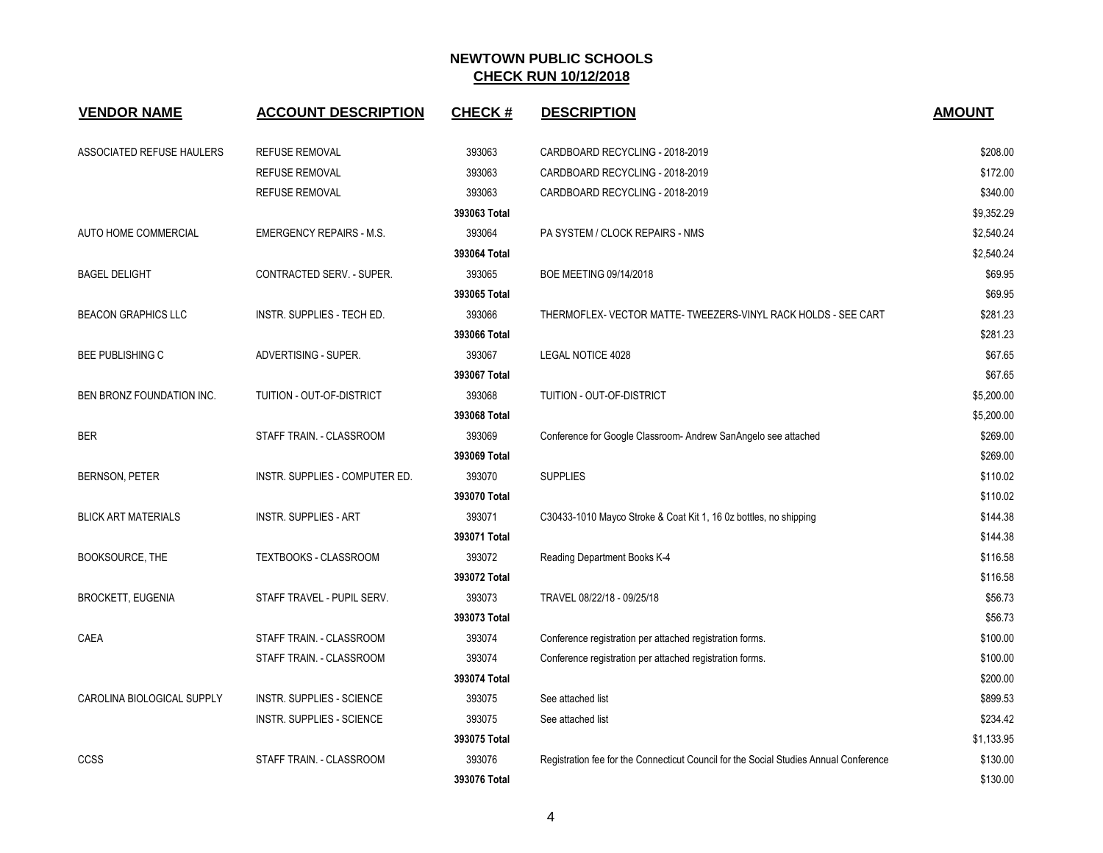| <b>VENDOR NAME</b>         | <b>ACCOUNT DESCRIPTION</b>       | <b>CHECK#</b> | <b>DESCRIPTION</b>                                                                    | <b>AMOUNT</b> |
|----------------------------|----------------------------------|---------------|---------------------------------------------------------------------------------------|---------------|
| ASSOCIATED REFUSE HAULERS  | REFUSE REMOVAL                   | 393063        | CARDBOARD RECYCLING - 2018-2019                                                       | \$208.00      |
|                            | <b>REFUSE REMOVAL</b>            | 393063        | CARDBOARD RECYCLING - 2018-2019                                                       | \$172.00      |
|                            | <b>REFUSE REMOVAL</b>            | 393063        | CARDBOARD RECYCLING - 2018-2019                                                       | \$340.00      |
|                            |                                  | 393063 Total  |                                                                                       | \$9,352.29    |
| AUTO HOME COMMERCIAL       | <b>EMERGENCY REPAIRS - M.S.</b>  | 393064        | PA SYSTEM / CLOCK REPAIRS - NMS                                                       | \$2,540.24    |
|                            |                                  | 393064 Total  |                                                                                       | \$2,540.24    |
| <b>BAGEL DELIGHT</b>       | CONTRACTED SERV. - SUPER.        | 393065        | BOE MEETING 09/14/2018                                                                | \$69.95       |
|                            |                                  | 393065 Total  |                                                                                       | \$69.95       |
| <b>BEACON GRAPHICS LLC</b> | INSTR. SUPPLIES - TECH ED.       | 393066        | THERMOFLEX- VECTOR MATTE- TWEEZERS-VINYL RACK HOLDS - SEE CART                        | \$281.23      |
|                            |                                  | 393066 Total  |                                                                                       | \$281.23      |
| <b>BEE PUBLISHING C</b>    | ADVERTISING - SUPER.             | 393067        | <b>LEGAL NOTICE 4028</b>                                                              | \$67.65       |
|                            |                                  | 393067 Total  |                                                                                       | \$67.65       |
| BEN BRONZ FOUNDATION INC.  | TUITION - OUT-OF-DISTRICT        | 393068        | TUITION - OUT-OF-DISTRICT                                                             | \$5,200.00    |
|                            |                                  | 393068 Total  |                                                                                       | \$5,200.00    |
| <b>BER</b>                 | STAFF TRAIN. - CLASSROOM         | 393069        | Conference for Google Classroom- Andrew SanAngelo see attached                        | \$269.00      |
|                            |                                  | 393069 Total  |                                                                                       | \$269.00      |
| <b>BERNSON, PETER</b>      | INSTR. SUPPLIES - COMPUTER ED.   | 393070        | <b>SUPPLIES</b>                                                                       | \$110.02      |
|                            |                                  | 393070 Total  |                                                                                       | \$110.02      |
| <b>BLICK ART MATERIALS</b> | <b>INSTR. SUPPLIES - ART</b>     | 393071        | C30433-1010 Mayco Stroke & Coat Kit 1, 16 0z bottles, no shipping                     | \$144.38      |
|                            |                                  | 393071 Total  |                                                                                       | \$144.38      |
| <b>BOOKSOURCE, THE</b>     | <b>TEXTBOOKS - CLASSROOM</b>     | 393072        | Reading Department Books K-4                                                          | \$116.58      |
|                            |                                  | 393072 Total  |                                                                                       | \$116.58      |
| <b>BROCKETT, EUGENIA</b>   | STAFF TRAVEL - PUPIL SERV.       | 393073        | TRAVEL 08/22/18 - 09/25/18                                                            | \$56.73       |
|                            |                                  | 393073 Total  |                                                                                       | \$56.73       |
| CAEA                       | STAFF TRAIN. - CLASSROOM         | 393074        | Conference registration per attached registration forms.                              | \$100.00      |
|                            | STAFF TRAIN. - CLASSROOM         | 393074        | Conference registration per attached registration forms.                              | \$100.00      |
|                            |                                  | 393074 Total  |                                                                                       | \$200.00      |
| CAROLINA BIOLOGICAL SUPPLY | <b>INSTR. SUPPLIES - SCIENCE</b> | 393075        | See attached list                                                                     | \$899.53      |
|                            | <b>INSTR. SUPPLIES - SCIENCE</b> | 393075        | See attached list                                                                     | \$234.42      |
|                            |                                  | 393075 Total  |                                                                                       | \$1,133.95    |
| CCSS                       | STAFF TRAIN. - CLASSROOM         | 393076        | Registration fee for the Connecticut Council for the Social Studies Annual Conference | \$130.00      |
|                            |                                  | 393076 Total  |                                                                                       | \$130.00      |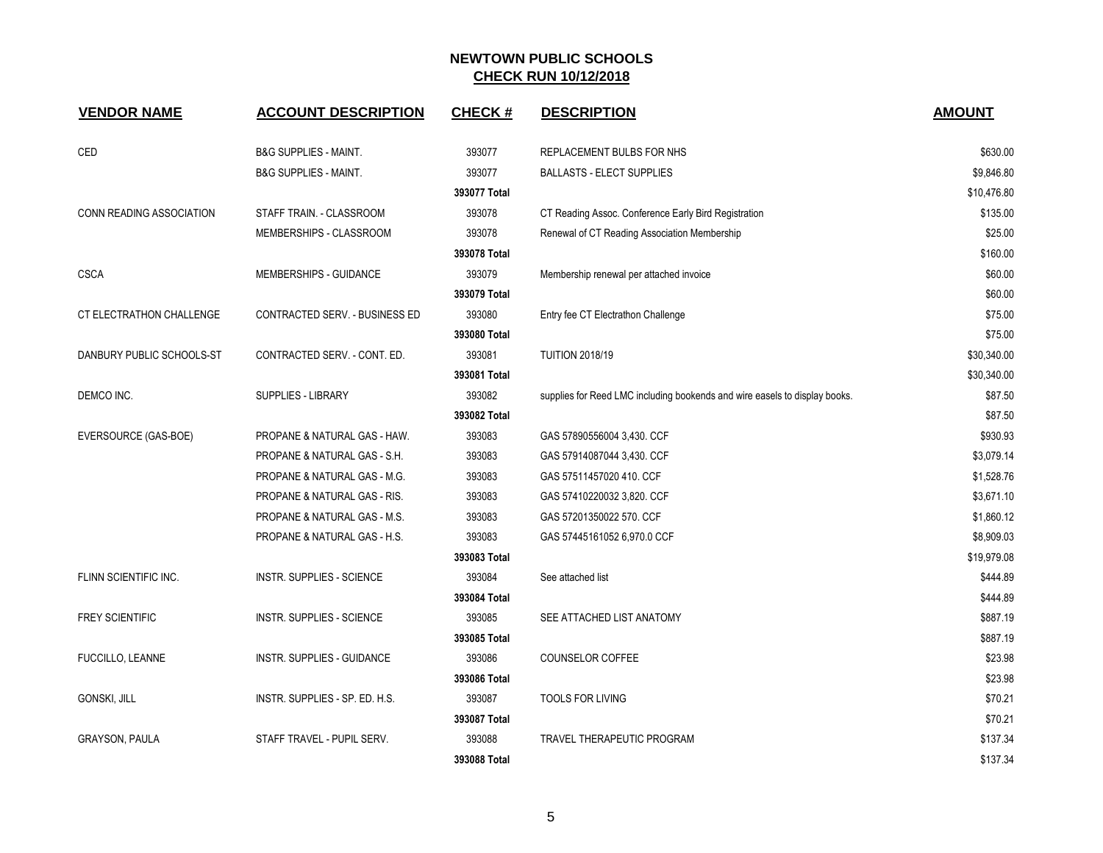| <b>VENDOR NAME</b>              | <b>ACCOUNT DESCRIPTION</b>       | <b>CHECK#</b> | <b>DESCRIPTION</b>                                                         | <b>AMOUNT</b> |
|---------------------------------|----------------------------------|---------------|----------------------------------------------------------------------------|---------------|
| CED                             | <b>B&amp;G SUPPLIES - MAINT.</b> | 393077        | REPLACEMENT BULBS FOR NHS                                                  | \$630.00      |
|                                 | <b>B&amp;G SUPPLIES - MAINT.</b> | 393077        | <b>BALLASTS - ELECT SUPPLIES</b>                                           | \$9,846.80    |
|                                 |                                  | 393077 Total  |                                                                            | \$10,476.80   |
| <b>CONN READING ASSOCIATION</b> | STAFF TRAIN. - CLASSROOM         | 393078        | CT Reading Assoc. Conference Early Bird Registration                       | \$135.00      |
|                                 | MEMBERSHIPS - CLASSROOM          | 393078        | Renewal of CT Reading Association Membership                               | \$25.00       |
|                                 |                                  | 393078 Total  |                                                                            | \$160.00      |
| CSCA                            | MEMBERSHIPS - GUIDANCE           | 393079        | Membership renewal per attached invoice                                    | \$60.00       |
|                                 |                                  | 393079 Total  |                                                                            | \$60.00       |
| CT ELECTRATHON CHALLENGE        | CONTRACTED SERV. - BUSINESS ED   | 393080        | Entry fee CT Electrathon Challenge                                         | \$75.00       |
|                                 |                                  | 393080 Total  |                                                                            | \$75.00       |
| DANBURY PUBLIC SCHOOLS-ST       | CONTRACTED SERV. - CONT. ED.     | 393081        | <b>TUITION 2018/19</b>                                                     | \$30,340.00   |
|                                 |                                  | 393081 Total  |                                                                            | \$30,340.00   |
| DEMCO INC.                      | <b>SUPPLIES - LIBRARY</b>        | 393082        | supplies for Reed LMC including bookends and wire easels to display books. | \$87.50       |
|                                 |                                  | 393082 Total  |                                                                            | \$87.50       |
| EVERSOURCE (GAS-BOE)            | PROPANE & NATURAL GAS - HAW.     | 393083        | GAS 57890556004 3,430. CCF                                                 | \$930.93      |
|                                 | PROPANE & NATURAL GAS - S.H.     | 393083        | GAS 57914087044 3,430. CCF                                                 | \$3,079.14    |
|                                 | PROPANE & NATURAL GAS - M.G.     | 393083        | GAS 57511457020 410. CCF                                                   | \$1,528.76    |
|                                 | PROPANE & NATURAL GAS - RIS.     | 393083        | GAS 57410220032 3,820. CCF                                                 | \$3,671.10    |
|                                 | PROPANE & NATURAL GAS - M.S.     | 393083        | GAS 57201350022 570. CCF                                                   | \$1,860.12    |
|                                 | PROPANE & NATURAL GAS - H.S.     | 393083        | GAS 57445161052 6,970.0 CCF                                                | \$8,909.03    |
|                                 |                                  | 393083 Total  |                                                                            | \$19,979.08   |
| FLINN SCIENTIFIC INC.           | <b>INSTR. SUPPLIES - SCIENCE</b> | 393084        | See attached list                                                          | \$444.89      |
|                                 |                                  | 393084 Total  |                                                                            | \$444.89      |
| <b>FREY SCIENTIFIC</b>          | <b>INSTR. SUPPLIES - SCIENCE</b> | 393085        | SEE ATTACHED LIST ANATOMY                                                  | \$887.19      |
|                                 |                                  | 393085 Total  |                                                                            | \$887.19      |
| <b>FUCCILLO, LEANNE</b>         | INSTR. SUPPLIES - GUIDANCE       | 393086        | COUNSELOR COFFEE                                                           | \$23.98       |
|                                 |                                  | 393086 Total  |                                                                            | \$23.98       |
| GONSKI, JILL                    | INSTR. SUPPLIES - SP. ED. H.S.   | 393087        | <b>TOOLS FOR LIVING</b>                                                    | \$70.21       |
|                                 |                                  | 393087 Total  |                                                                            | \$70.21       |
| <b>GRAYSON, PAULA</b>           | STAFF TRAVEL - PUPIL SERV.       | 393088        | TRAVEL THERAPEUTIC PROGRAM                                                 | \$137.34      |
|                                 |                                  | 393088 Total  |                                                                            | \$137.34      |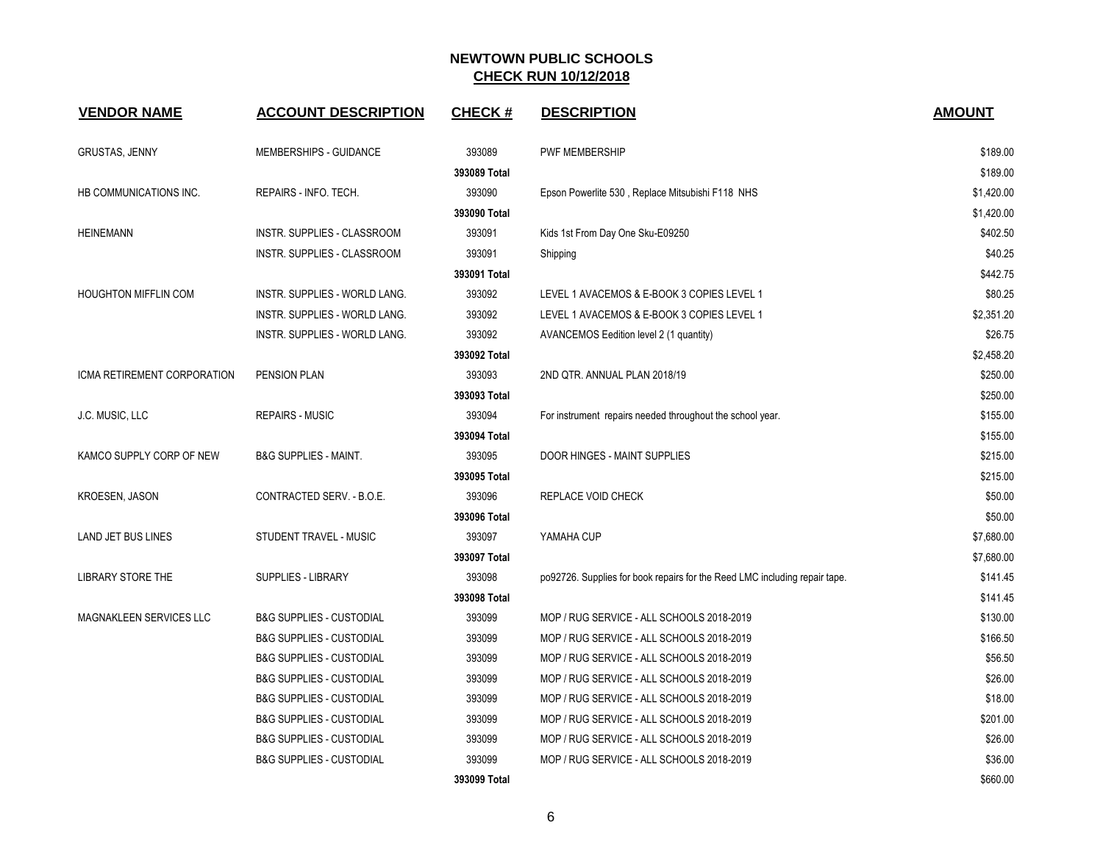| <b>VENDOR NAME</b>          | <b>ACCOUNT DESCRIPTION</b>          | <b>CHECK#</b> | <b>DESCRIPTION</b>                                                         | <b>AMOUNT</b> |
|-----------------------------|-------------------------------------|---------------|----------------------------------------------------------------------------|---------------|
| <b>GRUSTAS, JENNY</b>       | <b>MEMBERSHIPS - GUIDANCE</b>       | 393089        | PWF MEMBERSHIP                                                             | \$189.00      |
|                             |                                     | 393089 Total  |                                                                            | \$189.00      |
| HB COMMUNICATIONS INC.      | REPAIRS - INFO. TECH.               | 393090        | Epson Powerlite 530, Replace Mitsubishi F118 NHS                           | \$1,420.00    |
|                             |                                     | 393090 Total  |                                                                            | \$1,420.00    |
| <b>HEINEMANN</b>            | INSTR. SUPPLIES - CLASSROOM         | 393091        | Kids 1st From Day One Sku-E09250                                           | \$402.50      |
|                             | INSTR. SUPPLIES - CLASSROOM         | 393091        | Shipping                                                                   | \$40.25       |
|                             |                                     | 393091 Total  |                                                                            | \$442.75      |
| <b>HOUGHTON MIFFLIN COM</b> | INSTR. SUPPLIES - WORLD LANG.       | 393092        | LEVEL 1 AVACEMOS & E-BOOK 3 COPIES LEVEL 1                                 | \$80.25       |
|                             | INSTR. SUPPLIES - WORLD LANG.       | 393092        | LEVEL 1 AVACEMOS & E-BOOK 3 COPIES LEVEL 1                                 | \$2,351.20    |
|                             | INSTR. SUPPLIES - WORLD LANG.       | 393092        | AVANCEMOS Eedition level 2 (1 quantity)                                    | \$26.75       |
|                             |                                     | 393092 Total  |                                                                            | \$2,458.20    |
| ICMA RETIREMENT CORPORATION | <b>PENSION PLAN</b>                 | 393093        | 2ND QTR. ANNUAL PLAN 2018/19                                               | \$250.00      |
|                             |                                     | 393093 Total  |                                                                            | \$250.00      |
| J.C. MUSIC, LLC             | <b>REPAIRS - MUSIC</b>              | 393094        | For instrument repairs needed throughout the school year.                  | \$155.00      |
|                             |                                     | 393094 Total  |                                                                            | \$155.00      |
| KAMCO SUPPLY CORP OF NEW    | <b>B&amp;G SUPPLIES - MAINT.</b>    | 393095        | DOOR HINGES - MAINT SUPPLIES                                               | \$215.00      |
|                             |                                     | 393095 Total  |                                                                            | \$215.00      |
| KROESEN, JASON              | CONTRACTED SERV. - B.O.E.           | 393096        | REPLACE VOID CHECK                                                         | \$50.00       |
|                             |                                     | 393096 Total  |                                                                            | \$50.00       |
| <b>LAND JET BUS LINES</b>   | STUDENT TRAVEL - MUSIC              | 393097        | YAMAHA CUP                                                                 | \$7,680.00    |
|                             |                                     | 393097 Total  |                                                                            | \$7,680.00    |
| <b>LIBRARY STORE THE</b>    | <b>SUPPLIES - LIBRARY</b>           | 393098        | po92726. Supplies for book repairs for the Reed LMC including repair tape. | \$141.45      |
|                             |                                     | 393098 Total  |                                                                            | \$141.45      |
| MAGNAKLEEN SERVICES LLC     | <b>B&amp;G SUPPLIES - CUSTODIAL</b> | 393099        | MOP / RUG SERVICE - ALL SCHOOLS 2018-2019                                  | \$130.00      |
|                             | <b>B&amp;G SUPPLIES - CUSTODIAL</b> | 393099        | MOP / RUG SERVICE - ALL SCHOOLS 2018-2019                                  | \$166.50      |
|                             | <b>B&amp;G SUPPLIES - CUSTODIAL</b> | 393099        | MOP / RUG SERVICE - ALL SCHOOLS 2018-2019                                  | \$56.50       |
|                             | <b>B&amp;G SUPPLIES - CUSTODIAL</b> | 393099        | MOP / RUG SERVICE - ALL SCHOOLS 2018-2019                                  | \$26.00       |
|                             | <b>B&amp;G SUPPLIES - CUSTODIAL</b> | 393099        | MOP / RUG SERVICE - ALL SCHOOLS 2018-2019                                  | \$18.00       |
|                             | <b>B&amp;G SUPPLIES - CUSTODIAL</b> | 393099        | MOP / RUG SERVICE - ALL SCHOOLS 2018-2019                                  | \$201.00      |
|                             | <b>B&amp;G SUPPLIES - CUSTODIAL</b> | 393099        | MOP / RUG SERVICE - ALL SCHOOLS 2018-2019                                  | \$26.00       |
|                             | <b>B&amp;G SUPPLIES - CUSTODIAL</b> | 393099        | MOP / RUG SERVICE - ALL SCHOOLS 2018-2019                                  | \$36.00       |
|                             |                                     | 393099 Total  |                                                                            | \$660.00      |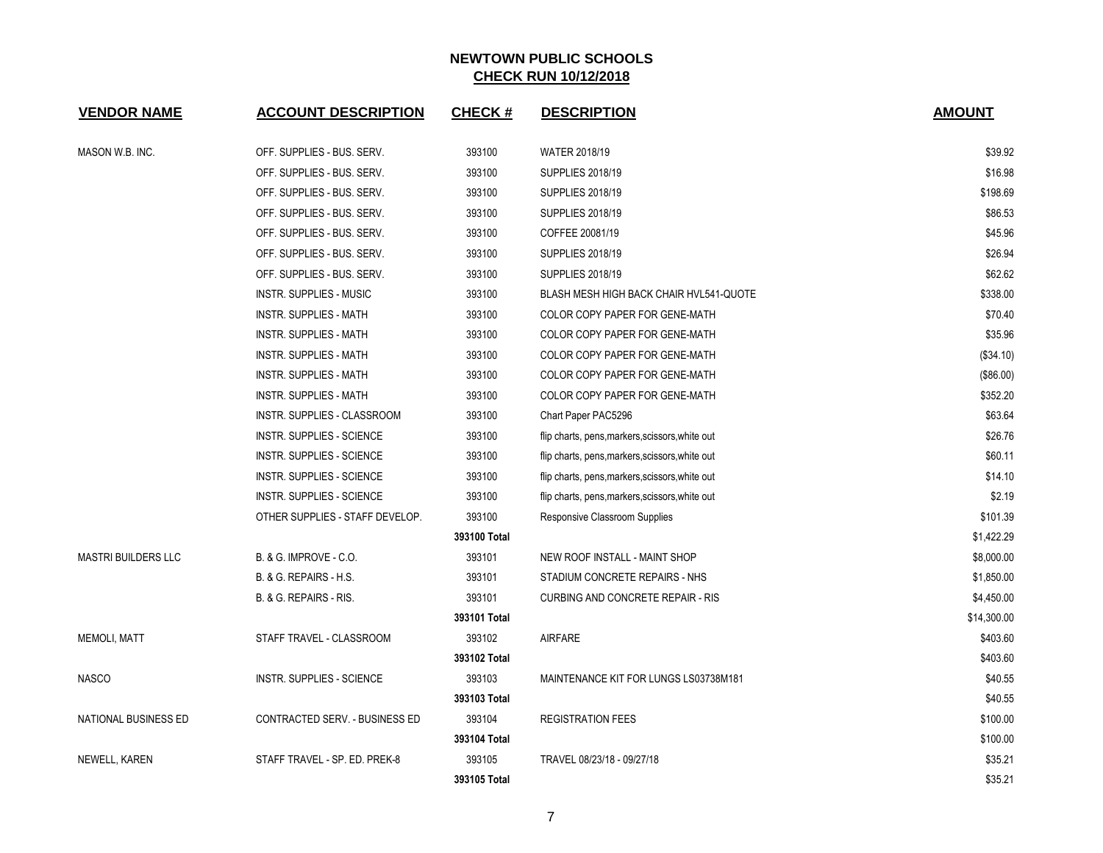| <b>VENDOR NAME</b>         | <b>ACCOUNT DESCRIPTION</b>       | <b>CHECK#</b> | <b>DESCRIPTION</b>                              | <b>AMOUNT</b> |
|----------------------------|----------------------------------|---------------|-------------------------------------------------|---------------|
| MASON W.B. INC.            | OFF. SUPPLIES - BUS. SERV.       | 393100        | WATER 2018/19                                   | \$39.92       |
|                            | OFF. SUPPLIES - BUS. SERV.       | 393100        | <b>SUPPLIES 2018/19</b>                         | \$16.98       |
|                            | OFF. SUPPLIES - BUS. SERV.       | 393100        | <b>SUPPLIES 2018/19</b>                         | \$198.69      |
|                            | OFF. SUPPLIES - BUS. SERV.       | 393100        | <b>SUPPLIES 2018/19</b>                         | \$86.53       |
|                            | OFF. SUPPLIES - BUS. SERV.       | 393100        | COFFEE 20081/19                                 | \$45.96       |
|                            | OFF. SUPPLIES - BUS. SERV.       | 393100        | <b>SUPPLIES 2018/19</b>                         | \$26.94       |
|                            | OFF. SUPPLIES - BUS. SERV.       | 393100        | <b>SUPPLIES 2018/19</b>                         | \$62.62       |
|                            | <b>INSTR. SUPPLIES - MUSIC</b>   | 393100        | BLASH MESH HIGH BACK CHAIR HVL541-QUOTE         | \$338.00      |
|                            | <b>INSTR. SUPPLIES - MATH</b>    | 393100        | COLOR COPY PAPER FOR GENE-MATH                  | \$70.40       |
|                            | INSTR. SUPPLIES - MATH           | 393100        | COLOR COPY PAPER FOR GENE-MATH                  | \$35.96       |
|                            | <b>INSTR. SUPPLIES - MATH</b>    | 393100        | COLOR COPY PAPER FOR GENE-MATH                  | (\$34.10)     |
|                            | <b>INSTR. SUPPLIES - MATH</b>    | 393100        | COLOR COPY PAPER FOR GENE-MATH                  | (\$86.00)     |
|                            | <b>INSTR. SUPPLIES - MATH</b>    | 393100        | COLOR COPY PAPER FOR GENE-MATH                  | \$352.20      |
|                            | INSTR. SUPPLIES - CLASSROOM      | 393100        | Chart Paper PAC5296                             | \$63.64       |
|                            | <b>INSTR. SUPPLIES - SCIENCE</b> | 393100        | flip charts, pens, markers, scissors, white out | \$26.76       |
|                            | <b>INSTR. SUPPLIES - SCIENCE</b> | 393100        | flip charts, pens, markers, scissors, white out | \$60.11       |
|                            | INSTR. SUPPLIES - SCIENCE        | 393100        | flip charts, pens, markers, scissors, white out | \$14.10       |
|                            | <b>INSTR. SUPPLIES - SCIENCE</b> | 393100        | flip charts, pens, markers, scissors, white out | \$2.19        |
|                            | OTHER SUPPLIES - STAFF DEVELOP.  | 393100        | Responsive Classroom Supplies                   | \$101.39      |
|                            |                                  | 393100 Total  |                                                 | \$1,422.29    |
| <b>MASTRI BUILDERS LLC</b> | B. & G. IMPROVE - C.O.           | 393101        | NEW ROOF INSTALL - MAINT SHOP                   | \$8,000.00    |
|                            | B. & G. REPAIRS - H.S.           | 393101        | STADIUM CONCRETE REPAIRS - NHS                  | \$1,850.00    |
|                            | B. & G. REPAIRS - RIS.           | 393101        | <b>CURBING AND CONCRETE REPAIR - RIS</b>        | \$4,450.00    |
|                            |                                  | 393101 Total  |                                                 | \$14,300.00   |
| <b>MEMOLI, MATT</b>        | STAFF TRAVEL - CLASSROOM         | 393102        | <b>AIRFARE</b>                                  | \$403.60      |
|                            |                                  | 393102 Total  |                                                 | \$403.60      |
| <b>NASCO</b>               | INSTR. SUPPLIES - SCIENCE        | 393103        | MAINTENANCE KIT FOR LUNGS LS03738M181           | \$40.55       |
|                            |                                  | 393103 Total  |                                                 | \$40.55       |
| NATIONAL BUSINESS ED       | CONTRACTED SERV. - BUSINESS ED   | 393104        | <b>REGISTRATION FEES</b>                        | \$100.00      |
|                            |                                  | 393104 Total  |                                                 | \$100.00      |
| NEWELL, KAREN              | STAFF TRAVEL - SP. ED. PREK-8    | 393105        | TRAVEL 08/23/18 - 09/27/18                      | \$35.21       |
|                            |                                  | 393105 Total  |                                                 | \$35.21       |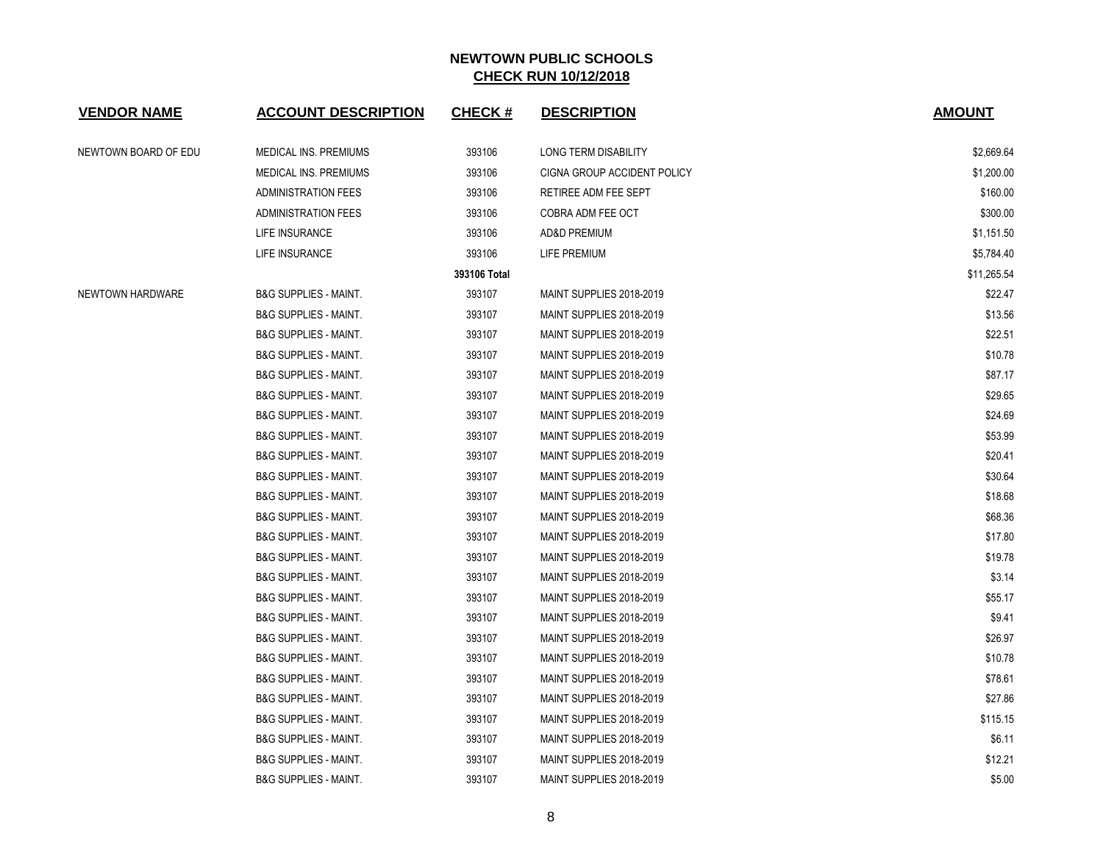| <b>VENDOR NAME</b>   | <b>ACCOUNT DESCRIPTION</b>       | <b>CHECK#</b> | <b>DESCRIPTION</b>                 | <b>AMOUNT</b> |
|----------------------|----------------------------------|---------------|------------------------------------|---------------|
| NEWTOWN BOARD OF EDU | <b>MEDICAL INS. PREMIUMS</b>     | 393106        | LONG TERM DISABILITY               | \$2,669.64    |
|                      | <b>MEDICAL INS. PREMIUMS</b>     | 393106        | <b>CIGNA GROUP ACCIDENT POLICY</b> | \$1,200.00    |
|                      | <b>ADMINISTRATION FEES</b>       | 393106        | RETIREE ADM FEE SEPT               | \$160.00      |
|                      | <b>ADMINISTRATION FEES</b>       | 393106        | COBRA ADM FEE OCT                  | \$300.00      |
|                      | LIFE INSURANCE                   | 393106        | <b>AD&amp;D PREMIUM</b>            | \$1,151.50    |
|                      | LIFE INSURANCE                   | 393106        | LIFE PREMIUM                       | \$5,784.40    |
|                      |                                  | 393106 Total  |                                    | \$11,265.54   |
| NEWTOWN HARDWARE     | <b>B&amp;G SUPPLIES - MAINT.</b> | 393107        | MAINT SUPPLIES 2018-2019           | \$22.47       |
|                      | <b>B&amp;G SUPPLIES - MAINT.</b> | 393107        | MAINT SUPPLIES 2018-2019           | \$13.56       |
|                      | <b>B&amp;G SUPPLIES - MAINT.</b> | 393107        | MAINT SUPPLIES 2018-2019           | \$22.51       |
|                      | <b>B&amp;G SUPPLIES - MAINT.</b> | 393107        | MAINT SUPPLIES 2018-2019           | \$10.78       |
|                      | <b>B&amp;G SUPPLIES - MAINT.</b> | 393107        | MAINT SUPPLIES 2018-2019           | \$87.17       |
|                      | <b>B&amp;G SUPPLIES - MAINT.</b> | 393107        | MAINT SUPPLIES 2018-2019           | \$29.65       |
|                      | <b>B&amp;G SUPPLIES - MAINT.</b> | 393107        | MAINT SUPPLIES 2018-2019           | \$24.69       |
|                      | <b>B&amp;G SUPPLIES - MAINT.</b> | 393107        | MAINT SUPPLIES 2018-2019           | \$53.99       |
|                      | <b>B&amp;G SUPPLIES - MAINT.</b> | 393107        | MAINT SUPPLIES 2018-2019           | \$20.41       |
|                      | <b>B&amp;G SUPPLIES - MAINT.</b> | 393107        | MAINT SUPPLIES 2018-2019           | \$30.64       |
|                      | <b>B&amp;G SUPPLIES - MAINT.</b> | 393107        | MAINT SUPPLIES 2018-2019           | \$18.68       |
|                      | <b>B&amp;G SUPPLIES - MAINT.</b> | 393107        | MAINT SUPPLIES 2018-2019           | \$68.36       |
|                      | <b>B&amp;G SUPPLIES - MAINT.</b> | 393107        | MAINT SUPPLIES 2018-2019           | \$17.80       |
|                      | <b>B&amp;G SUPPLIES - MAINT.</b> | 393107        | MAINT SUPPLIES 2018-2019           | \$19.78       |
|                      | <b>B&amp;G SUPPLIES - MAINT.</b> | 393107        | MAINT SUPPLIES 2018-2019           | \$3.14        |
|                      | <b>B&amp;G SUPPLIES - MAINT.</b> | 393107        | MAINT SUPPLIES 2018-2019           | \$55.17       |
|                      | <b>B&amp;G SUPPLIES - MAINT.</b> | 393107        | MAINT SUPPLIES 2018-2019           | \$9.41        |
|                      | <b>B&amp;G SUPPLIES - MAINT.</b> | 393107        | MAINT SUPPLIES 2018-2019           | \$26.97       |
|                      | <b>B&amp;G SUPPLIES - MAINT.</b> | 393107        | MAINT SUPPLIES 2018-2019           | \$10.78       |
|                      | <b>B&amp;G SUPPLIES - MAINT.</b> | 393107        | MAINT SUPPLIES 2018-2019           | \$78.61       |
|                      | <b>B&amp;G SUPPLIES - MAINT.</b> | 393107        | MAINT SUPPLIES 2018-2019           | \$27.86       |
|                      | <b>B&amp;G SUPPLIES - MAINT.</b> | 393107        | MAINT SUPPLIES 2018-2019           | \$115.15      |
|                      | <b>B&amp;G SUPPLIES - MAINT.</b> | 393107        | MAINT SUPPLIES 2018-2019           | \$6.11        |
|                      | <b>B&amp;G SUPPLIES - MAINT.</b> | 393107        | MAINT SUPPLIES 2018-2019           | \$12.21       |
|                      | <b>B&amp;G SUPPLIES - MAINT.</b> | 393107        | MAINT SUPPLIES 2018-2019           | \$5.00        |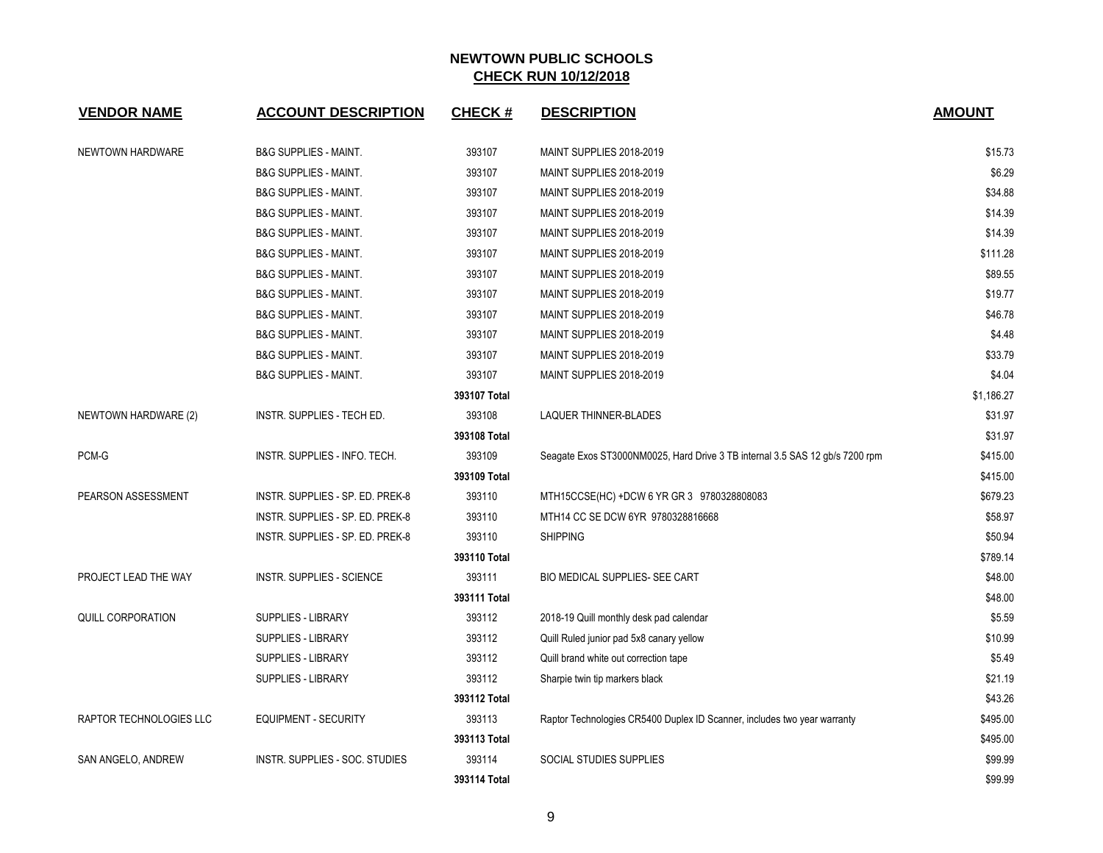| <b>VENDOR NAME</b>      | <b>ACCOUNT DESCRIPTION</b>       | <b>CHECK#</b> | <b>DESCRIPTION</b>                                                           | <b>AMOUNT</b> |
|-------------------------|----------------------------------|---------------|------------------------------------------------------------------------------|---------------|
| NEWTOWN HARDWARE        | <b>B&amp;G SUPPLIES - MAINT.</b> | 393107        | MAINT SUPPLIES 2018-2019                                                     | \$15.73       |
|                         | <b>B&amp;G SUPPLIES - MAINT.</b> | 393107        | MAINT SUPPLIES 2018-2019                                                     | \$6.29        |
|                         | <b>B&amp;G SUPPLIES - MAINT.</b> | 393107        | MAINT SUPPLIES 2018-2019                                                     | \$34.88       |
|                         | <b>B&amp;G SUPPLIES - MAINT.</b> | 393107        | MAINT SUPPLIES 2018-2019                                                     | \$14.39       |
|                         | <b>B&amp;G SUPPLIES - MAINT.</b> | 393107        | MAINT SUPPLIES 2018-2019                                                     | \$14.39       |
|                         | <b>B&amp;G SUPPLIES - MAINT.</b> | 393107        | MAINT SUPPLIES 2018-2019                                                     | \$111.28      |
|                         | <b>B&amp;G SUPPLIES - MAINT.</b> | 393107        | MAINT SUPPLIES 2018-2019                                                     | \$89.55       |
|                         | <b>B&amp;G SUPPLIES - MAINT.</b> | 393107        | MAINT SUPPLIES 2018-2019                                                     | \$19.77       |
|                         | <b>B&amp;G SUPPLIES - MAINT.</b> | 393107        | MAINT SUPPLIES 2018-2019                                                     | \$46.78       |
|                         | <b>B&amp;G SUPPLIES - MAINT.</b> | 393107        | MAINT SUPPLIES 2018-2019                                                     | \$4.48        |
|                         | <b>B&amp;G SUPPLIES - MAINT.</b> | 393107        | MAINT SUPPLIES 2018-2019                                                     | \$33.79       |
|                         | <b>B&amp;G SUPPLIES - MAINT.</b> | 393107        | MAINT SUPPLIES 2018-2019                                                     | \$4.04        |
|                         |                                  | 393107 Total  |                                                                              | \$1,186.27    |
| NEWTOWN HARDWARE (2)    | INSTR. SUPPLIES - TECH ED.       | 393108        | <b>LAQUER THINNER-BLADES</b>                                                 | \$31.97       |
|                         |                                  | 393108 Total  |                                                                              | \$31.97       |
| PCM-G                   | INSTR. SUPPLIES - INFO. TECH.    | 393109        | Seagate Exos ST3000NM0025, Hard Drive 3 TB internal 3.5 SAS 12 gb/s 7200 rpm | \$415.00      |
|                         |                                  | 393109 Total  |                                                                              | \$415.00      |
| PEARSON ASSESSMENT      | INSTR. SUPPLIES - SP. ED. PREK-8 | 393110        | MTH15CCSE(HC) +DCW 6 YR GR 3 9780328808083                                   | \$679.23      |
|                         | INSTR. SUPPLIES - SP. ED. PREK-8 | 393110        | MTH14 CC SE DCW 6YR 9780328816668                                            | \$58.97       |
|                         | INSTR. SUPPLIES - SP. ED. PREK-8 | 393110        | <b>SHIPPING</b>                                                              | \$50.94       |
|                         |                                  | 393110 Total  |                                                                              | \$789.14      |
| PROJECT LEAD THE WAY    | <b>INSTR. SUPPLIES - SCIENCE</b> | 393111        | BIO MEDICAL SUPPLIES- SEE CART                                               | \$48.00       |
|                         |                                  | 393111 Total  |                                                                              | \$48.00       |
| QUILL CORPORATION       | SUPPLIES - LIBRARY               | 393112        | 2018-19 Quill monthly desk pad calendar                                      | \$5.59        |
|                         | SUPPLIES - LIBRARY               | 393112        | Quill Ruled junior pad 5x8 canary yellow                                     | \$10.99       |
|                         | <b>SUPPLIES - LIBRARY</b>        | 393112        | Quill brand white out correction tape                                        | \$5.49        |
|                         | <b>SUPPLIES - LIBRARY</b>        | 393112        | Sharpie twin tip markers black                                               | \$21.19       |
|                         |                                  | 393112 Total  |                                                                              | \$43.26       |
| RAPTOR TECHNOLOGIES LLC | <b>EQUIPMENT - SECURITY</b>      | 393113        | Raptor Technologies CR5400 Duplex ID Scanner, includes two year warranty     | \$495.00      |
|                         |                                  | 393113 Total  |                                                                              | \$495.00      |
| SAN ANGELO, ANDREW      | INSTR. SUPPLIES - SOC. STUDIES   | 393114        | SOCIAL STUDIES SUPPLIES                                                      | \$99.99       |
|                         |                                  | 393114 Total  |                                                                              | \$99.99       |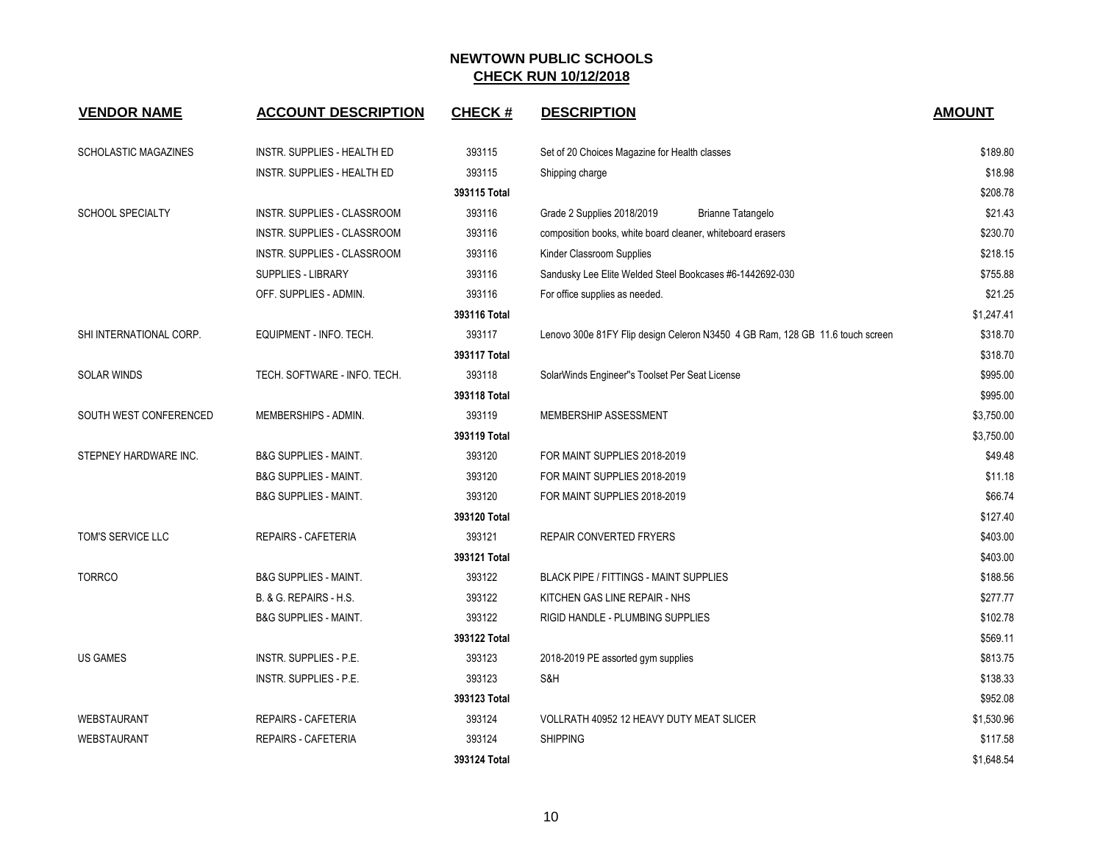| <b>VENDOR NAME</b>          | <b>ACCOUNT DESCRIPTION</b>         | <b>CHECK#</b> | <b>DESCRIPTION</b>                                                            | <b>AMOUNT</b> |
|-----------------------------|------------------------------------|---------------|-------------------------------------------------------------------------------|---------------|
| <b>SCHOLASTIC MAGAZINES</b> | INSTR. SUPPLIES - HEALTH ED        | 393115        | Set of 20 Choices Magazine for Health classes                                 | \$189.80      |
|                             | <b>INSTR. SUPPLIES - HEALTH ED</b> | 393115        | Shipping charge                                                               | \$18.98       |
|                             |                                    | 393115 Total  |                                                                               | \$208.78      |
| <b>SCHOOL SPECIALTY</b>     | INSTR. SUPPLIES - CLASSROOM        | 393116        | Grade 2 Supplies 2018/2019<br>Brianne Tatangelo                               | \$21.43       |
|                             | INSTR. SUPPLIES - CLASSROOM        | 393116        | composition books, white board cleaner, whiteboard erasers                    | \$230.70      |
|                             | INSTR. SUPPLIES - CLASSROOM        | 393116        | Kinder Classroom Supplies                                                     | \$218.15      |
|                             | SUPPLIES - LIBRARY                 | 393116        | Sandusky Lee Elite Welded Steel Bookcases #6-1442692-030                      | \$755.88      |
|                             | OFF. SUPPLIES - ADMIN.             | 393116        | For office supplies as needed.                                                | \$21.25       |
|                             |                                    | 393116 Total  |                                                                               | \$1,247.41    |
| SHI INTERNATIONAL CORP.     | EQUIPMENT - INFO. TECH.            | 393117        | Lenovo 300e 81FY Flip design Celeron N3450 4 GB Ram, 128 GB 11.6 touch screen | \$318.70      |
|                             |                                    | 393117 Total  |                                                                               | \$318.70      |
| <b>SOLAR WINDS</b>          | TECH. SOFTWARE - INFO. TECH.       | 393118        | SolarWinds Engineer"s Toolset Per Seat License                                | \$995.00      |
|                             |                                    | 393118 Total  |                                                                               | \$995.00      |
| SOUTH WEST CONFERENCED      | MEMBERSHIPS - ADMIN.               | 393119        | MEMBERSHIP ASSESSMENT                                                         | \$3,750.00    |
|                             |                                    | 393119 Total  |                                                                               | \$3,750.00    |
| STEPNEY HARDWARE INC.       | <b>B&amp;G SUPPLIES - MAINT.</b>   | 393120        | FOR MAINT SUPPLIES 2018-2019                                                  | \$49.48       |
|                             | <b>B&amp;G SUPPLIES - MAINT.</b>   | 393120        | FOR MAINT SUPPLIES 2018-2019                                                  | \$11.18       |
|                             | <b>B&amp;G SUPPLIES - MAINT.</b>   | 393120        | FOR MAINT SUPPLIES 2018-2019                                                  | \$66.74       |
|                             |                                    | 393120 Total  |                                                                               | \$127.40      |
| TOM'S SERVICE LLC           | REPAIRS - CAFETERIA                | 393121        | <b>REPAIR CONVERTED FRYERS</b>                                                | \$403.00      |
|                             |                                    | 393121 Total  |                                                                               | \$403.00      |
| <b>TORRCO</b>               | <b>B&amp;G SUPPLIES - MAINT.</b>   | 393122        | <b>BLACK PIPE / FITTINGS - MAINT SUPPLIES</b>                                 | \$188.56      |
|                             | B. & G. REPAIRS - H.S.             | 393122        | KITCHEN GAS LINE REPAIR - NHS                                                 | \$277.77      |
|                             | <b>B&amp;G SUPPLIES - MAINT.</b>   | 393122        | RIGID HANDLE - PLUMBING SUPPLIES                                              | \$102.78      |
|                             |                                    | 393122 Total  |                                                                               | \$569.11      |
| <b>US GAMES</b>             | INSTR. SUPPLIES - P.E.             | 393123        | 2018-2019 PE assorted gym supplies                                            | \$813.75      |
|                             | INSTR. SUPPLIES - P.E.             | 393123        | S&H                                                                           | \$138.33      |
|                             |                                    | 393123 Total  |                                                                               | \$952.08      |
| <b>WEBSTAURANT</b>          | REPAIRS - CAFETERIA                | 393124        | VOLLRATH 40952 12 HEAVY DUTY MEAT SLICER                                      | \$1,530.96    |
| WEBSTAURANT                 | REPAIRS - CAFETERIA                | 393124        | <b>SHIPPING</b>                                                               | \$117.58      |
|                             |                                    | 393124 Total  |                                                                               | \$1,648.54    |